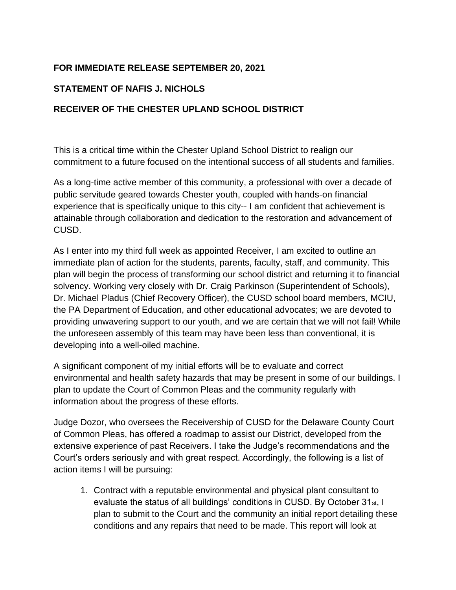## **FOR IMMEDIATE RELEASE SEPTEMBER 20, 2021**

## **STATEMENT OF NAFIS J. NICHOLS**

## **RECEIVER OF THE CHESTER UPLAND SCHOOL DISTRICT**

This is a critical time within the Chester Upland School District to realign our commitment to a future focused on the intentional success of all students and families.

As a long-time active member of this community, a professional with over a decade of public servitude geared towards Chester youth, coupled with hands-on financial experience that is specifically unique to this city-- I am confident that achievement is attainable through collaboration and dedication to the restoration and advancement of CUSD.

As I enter into my third full week as appointed Receiver, I am excited to outline an immediate plan of action for the students, parents, faculty, staff, and community. This plan will begin the process of transforming our school district and returning it to financial solvency. Working very closely with Dr. Craig Parkinson (Superintendent of Schools), Dr. Michael Pladus (Chief Recovery Officer), the CUSD school board members, MCIU, the PA Department of Education, and other educational advocates; we are devoted to providing unwavering support to our youth, and we are certain that we will not fail! While the unforeseen assembly of this team may have been less than conventional, it is developing into a well-oiled machine.

A significant component of my initial efforts will be to evaluate and correct environmental and health safety hazards that may be present in some of our buildings. I plan to update the Court of Common Pleas and the community regularly with information about the progress of these efforts.

Judge Dozor, who oversees the Receivership of CUSD for the Delaware County Court of Common Pleas, has offered a roadmap to assist our District, developed from the extensive experience of past Receivers. I take the Judge's recommendations and the Court's orders seriously and with great respect. Accordingly, the following is a list of action items I will be pursuing:

1. Contract with a reputable environmental and physical plant consultant to evaluate the status of all buildings' conditions in CUSD. By October 31<sub>st</sub>, I plan to submit to the Court and the community an initial report detailing these conditions and any repairs that need to be made. This report will look at